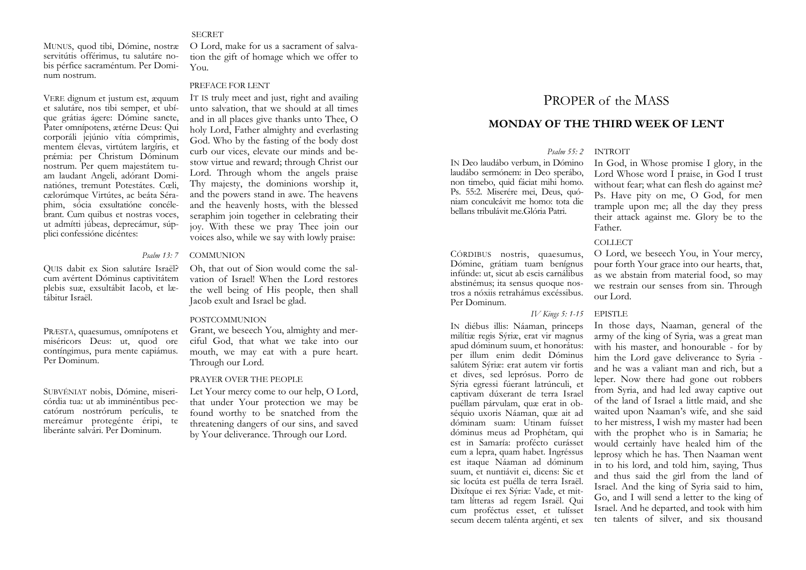#### **SECRET**

MUNUS, quod tibi, Dómine, nostræ servitútis offérimus, tu salutáre nobis pérfice sacraméntum. Per Dominum nostrum.

VERE dignum et justum est, æquum et salutáre, nos tibi semper, et ubíque grátias ágere: Dómine sancte, Pater omnípotens, ætérne Deus: Qui corporáli jejúnio vítia cómprimis, mentem élevas, virtútem largíris, et pr ǽmia: per Christum Dóminum nostrum. Per quem majestátem tuam laudant Angeli, adórant Dominatiónes, tremunt Potestátes. Cœli, cælorúmque Virtútes, ac beáta Séraphim, sócia exsultatióne concélebrant. Cum quibus et nostras voces, ut admítti júbeas, deprecámur, súpplici confessióne dicéntes:

QUIS dabit ex Sion salutáre Israël? cum avértent Dóminus captivitátem plebis suæ, exsultábit Iacob, et lætábitur Israël.

PRÆSTA, quaesumus, omnípotens et miséricors Deus: ut, quod ore contíngimus, pura mente capiámus. Per Dominum.

SUBVÉNIAT nobis, Dómine, misericórdia tua: ut ab imminéntibus peccatórum nostrórum perículis, te mereámur protegénte éripi, te liberánte salvári. Per Dominum.

O Lord, make for us a sacrament of salvation the gift of homage which we offer to You.

#### PREFACE FOR LENT

IT IS truly meet and just, right and availing unto salvation, that we should at all times and in all places give thanks unto Thee, O holy Lord, Father almighty and everlasting God. Who by the fasting of the body dost curb our vices, elevate our minds and bestow virtue and reward; through Christ our Lord. Through whom the angels praise Thy majesty, the dominions worship it, and the powers stand in awe. The heavens and the heavenly hosts, with the blessed seraphim join together in celebrating their joy. With these we pray Thee join our voices also, while we say with lowly praise:.

#### *Psalm 13: 7* COMMUNION

Oh, that out of Sion would come the salvation of Israel! When the Lord restores the well being of His people, then shall Jacob exult and Israel be glad.

# POSTCOMMUNION

Grant, we beseech You, almighty and merciful God, that what we take into our mouth, we may eat with a pure heart. Through our Lord.

#### PRAYER OVER THE PEOPLE

Let Your mercy come to our help, O Lord, that under Your protection we may be found worthy to be snatched from the threatening dangers of our sins, and saved by Your deliverance. Through our Lord.

# PROPER of the MASS

# **MONDAY OF THE THIRD WEEK OF LENT**

# *Psalm 55: 2* INTROIT

IN Deo laudábo verbum, in Dómino laudábo sermónem: in Deo sperábo, non timebo, quid fáciat mihi homo. Ps. 55:2. Miserére mei, Deus, quóniam conculcávit me homo: tota die bellans tribulávit me.Glória Patri.

CÓRDIBUS nostris, quaesumus, Dómine, grátiam tuam benígnus infúnde: ut, sicut ab escis carnálibus abstinémus; ita sensus quoque nostros a nóxiis retrahámus excéssibus. Per Dominum.

# *IV Kings 5: 1-15* EPISTLE

IN diébus illis: Náaman, princeps milítiæ regis Sýriæ, erat vir magnus apud dóminum suum, et honorátus: per illum enim dedit Dóminus salútem Sýriæ: erat autem vir fortis et dives, sed leprósus. Porro de Sýria egressi fúerant latrúnculi, et captivam dúxerant de terra Israel puéllam párvulam, quæ erat in obséquio uxoris Náaman, quæ ait ad dóminam suam: Utinam fuísset dóminus meus ad Prophétam, qui est in Samaría: profécto curásset eum a lepra, quam habet. Ingréssus est itaque Náaman ad dóminum suum, et nuntiávit ei, dicens: Sic et sic locúta est puélla de terra Israël. Dixítque ei rex Sýriæ: Vade, et mittam lítteras ad regem Israël. Qui cum proféctus esset, et tulísset secum decem talénta argénti, et sex

In God, in Whose promise I glory, in the Lord Whose word I praise, in God I trust without fear; what can flesh do against me? Ps. Have pity on me, O God, for men trample upon me; all the day they press their attack against me. Glory be to the Father.

#### COLLECT

O Lord, we beseech You, in Your mercy, pour forth Your grace into our hearts, that, as we abstain from material food, so may we restrain our senses from sin. Through our Lord.

In those days, Naaman, general of the army of the king of Syria, was a great man with his master, and honourable - for by him the Lord gave deliverance to Syria and he was a valiant man and rich, but a leper. Now there had gone out robbers from Syria, and had led away captive out of the land of Israel a little maid, and she waited upon Naaman's wife, and she said to her mistress, I wish my master had been with the prophet who is in Samaria; he would certainly have healed him of the leprosy which he has. Then Naaman went in to his lord, and told him, saying, Thus and thus said the girl from the land of Israel. And the king of Syria said to him, Go, and I will send a letter to the king of Israel. And he departed, and took with him ten talents of silver, and six thousand